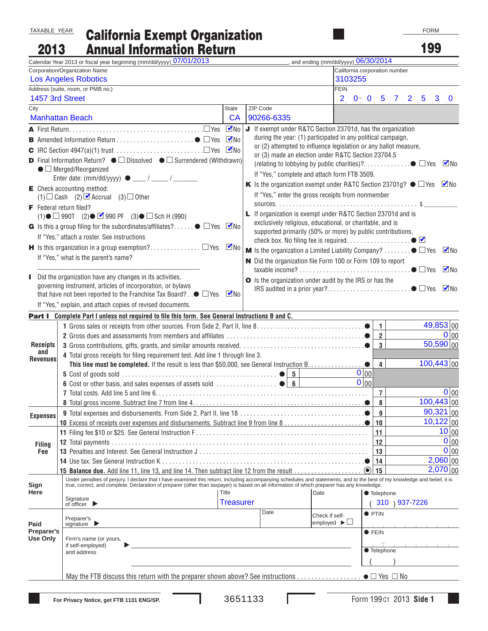TAXABLE YEAR

## California Exempt Organization

Annual Information Return 2013

199

|                                                                  | Calendar Year 2013 or fiscal year beginning (mm/dd/yyyy) 07/01/2013                                                                                                        |                                                               |                                                                                                                                 | ______, and ending (mm/dd/yyyy) 06/30/2014        |                          |                         |                |                 |                        |           |  |
|------------------------------------------------------------------|----------------------------------------------------------------------------------------------------------------------------------------------------------------------------|---------------------------------------------------------------|---------------------------------------------------------------------------------------------------------------------------------|---------------------------------------------------|--------------------------|-------------------------|----------------|-----------------|------------------------|-----------|--|
|                                                                  | Corporation/Organization Name                                                                                                                                              |                                                               |                                                                                                                                 | California corporation number                     |                          |                         |                |                 |                        |           |  |
| 3103255<br><b>Los Angeles Robotics</b>                           |                                                                                                                                                                            |                                                               |                                                                                                                                 |                                                   |                          |                         |                |                 |                        |           |  |
|                                                                  | Address (suite, room, or PMB no.)                                                                                                                                          |                                                               |                                                                                                                                 | <b>FEIN</b>                                       |                          |                         |                |                 |                        |           |  |
| 1457 3rd Street                                                  |                                                                                                                                                                            |                                                               |                                                                                                                                 | $\overline{2}$                                    | $0 - 0$                  |                         | 5 7 2          | 5               | 3                      | $\bf{0}$  |  |
| City                                                             |                                                                                                                                                                            | <b>State</b>                                                  | ZIP Code                                                                                                                        |                                                   |                          |                         |                |                 |                        |           |  |
|                                                                  | <b>Manhattan Beach</b>                                                                                                                                                     | <b>CA</b>                                                     | 90266-6335                                                                                                                      |                                                   |                          |                         |                |                 |                        |           |  |
|                                                                  |                                                                                                                                                                            | $\nabla$ No                                                   | J If exempt under R&TC Section 23701d, has the organization                                                                     |                                                   |                          |                         |                |                 |                        |           |  |
|                                                                  |                                                                                                                                                                            | $\n  V$ No                                                    | during the year: (1) participated in any political campaign,                                                                    |                                                   |                          |                         |                |                 |                        |           |  |
| or (2) attempted to influence legislation or any ballot measure, |                                                                                                                                                                            |                                                               |                                                                                                                                 |                                                   |                          |                         |                |                 |                        |           |  |
|                                                                  | <b>D</b> Final Information Return? $\bullet$ $\square$ Dissolved $\bullet$ $\square$ Surrendered (Withdrawn)                                                               | or (3) made an election under R&TC Section 23704.5<br>$\n  M$ |                                                                                                                                 |                                                   |                          |                         |                |                 |                        |           |  |
| $\bullet$ $\Box$ Merged/Reorganized                              |                                                                                                                                                                            |                                                               |                                                                                                                                 |                                                   |                          |                         |                |                 |                        |           |  |
|                                                                  |                                                                                                                                                                            |                                                               | If "Yes," complete and attach form FTB 3509.<br>K Is the organization exempt under R&TC Section 23701g? $\bullet$ $\Box$ Yes Mo |                                                   |                          |                         |                |                 |                        |           |  |
|                                                                  | $\mathsf{E}$ Check accounting method:                                                                                                                                      |                                                               |                                                                                                                                 |                                                   |                          |                         |                |                 |                        |           |  |
|                                                                  | $(1)$ Cash $(2)$ <b>C</b> Accrual $(3)$ Other                                                                                                                              |                                                               |                                                                                                                                 | If "Yes," enter the gross receipts from nonmember |                          |                         |                |                 |                        |           |  |
| <b>F</b> Federal return filed?                                   |                                                                                                                                                                            |                                                               |                                                                                                                                 |                                                   |                          |                         |                |                 |                        |           |  |
|                                                                  | $(1)$ $\bullet$ $\Box$ 990T $(2)$ $\bullet$ $\Box$ 990 PF $(3)$ $\bullet$ $\Box$ Sch H (990)                                                                               |                                                               | <b>L</b> If organization is exempt under R&TC Section 23701d and is                                                             |                                                   |                          |                         |                |                 |                        |           |  |
|                                                                  | G Is this a group filing for the subordinates/affiliates? $\bullet$ $\square$ Yes $\blacksquare$ No                                                                        |                                                               | exclusively religious, educational, or charitable, and is<br>supported primarily (50% or more) by public contributions,         |                                                   |                          |                         |                |                 |                        |           |  |
|                                                                  | If "Yes," attach a roster. See instructions                                                                                                                                |                                                               |                                                                                                                                 |                                                   |                          |                         |                |                 |                        |           |  |
|                                                                  |                                                                                                                                                                            | $\n  M$                                                       | <b>M</b> Is the organization a Limited Liability Company? $\bullet$ $\square$ Yes                                               |                                                   |                          |                         |                |                 |                        | $\n  W$   |  |
|                                                                  | If "Yes," what is the parent's name?                                                                                                                                       |                                                               |                                                                                                                                 |                                                   |                          |                         |                |                 |                        |           |  |
|                                                                  | N Did the organization file Form 100 or Form 109 to report                                                                                                                 |                                                               |                                                                                                                                 |                                                   |                          |                         |                |                 |                        | $\n  W$   |  |
|                                                                  | Did the organization have any changes in its activities,                                                                                                                   |                                                               | <b>O</b> Is the organization under audit by the IRS or has the                                                                  |                                                   |                          |                         |                |                 |                        |           |  |
|                                                                  | governing instrument, articles of incorporation, or bylaws                                                                                                                 |                                                               |                                                                                                                                 |                                                   |                          |                         |                |                 |                        | $\n  M$   |  |
|                                                                  | that have not been reported to the Franchise Tax Board? $\Box \odot \Box$ Yes $\Box$ No                                                                                    |                                                               |                                                                                                                                 |                                                   |                          |                         |                |                 |                        |           |  |
|                                                                  | If "Yes," explain, and attach copies of revised documents.                                                                                                                 |                                                               |                                                                                                                                 |                                                   |                          |                         |                |                 |                        |           |  |
|                                                                  | <b>Part I</b> Complete Part I unless not required to file this form. See General Instructions B and C.                                                                     |                                                               |                                                                                                                                 |                                                   |                          |                         |                |                 |                        |           |  |
|                                                                  |                                                                                                                                                                            |                                                               |                                                                                                                                 |                                                   |                          | $\mathbf{1}$            |                |                 | 49,853 00              |           |  |
|                                                                  |                                                                                                                                                                            |                                                               |                                                                                                                                 |                                                   |                          | $\overline{2}$          |                |                 |                        | $0 _{00}$ |  |
| <b>Receipts</b>                                                  |                                                                                                                                                                            |                                                               |                                                                                                                                 |                                                   |                          | $\overline{3}$          |                |                 | $\overline{50,590}$ 00 |           |  |
| and<br><b>Revenues</b>                                           | 4 Total gross receipts for filing requirement test. Add line 1 through line 3.                                                                                             |                                                               |                                                                                                                                 |                                                   |                          |                         |                |                 |                        |           |  |
|                                                                  |                                                                                                                                                                            |                                                               |                                                                                                                                 |                                                   |                          | $\overline{\mathbf{4}}$ |                | $100,443 _{00}$ |                        |           |  |
|                                                                  |                                                                                                                                                                            |                                                               |                                                                                                                                 |                                                   | 0 00                     |                         |                |                 |                        |           |  |
|                                                                  |                                                                                                                                                                            |                                                               |                                                                                                                                 |                                                   | $\overline{0}\vert_{00}$ |                         |                |                 |                        |           |  |
|                                                                  |                                                                                                                                                                            |                                                               |                                                                                                                                 |                                                   |                          | $\overline{7}$<br>8     |                |                 |                        | $0 _{00}$ |  |
|                                                                  |                                                                                                                                                                            |                                                               |                                                                                                                                 |                                                   |                          |                         |                | $100,443$ 00    |                        |           |  |
| Expenses                                                         | 9 Total expenses and disbursements. From Side 2, Part II, line 18                                                                                                          |                                                               |                                                                                                                                 |                                                   | $\bullet$                | q                       |                |                 | $90,321$ 00            |           |  |
|                                                                  |                                                                                                                                                                            |                                                               |                                                                                                                                 |                                                   |                          | 10                      |                |                 | $10,122$ 00            |           |  |
|                                                                  |                                                                                                                                                                            |                                                               |                                                                                                                                 |                                                   |                          | 11                      |                |                 |                        | 10 00     |  |
| <b>Filing</b>                                                    |                                                                                                                                                                            |                                                               |                                                                                                                                 |                                                   |                          | 12                      |                |                 |                        | 0 00      |  |
| Fee                                                              |                                                                                                                                                                            |                                                               |                                                                                                                                 |                                                   |                          | 13                      |                |                 |                        | 0 00      |  |
|                                                                  | <b>14</b> Use tax. See General Instruction K                                                                                                                               |                                                               |                                                                                                                                 |                                                   |                          | 14                      |                |                 | 2,060 00<br>2,070 00   |           |  |
|                                                                  | Under penalties of perjury, I declare that I have examined this return, including accompanying schedules and statements, and to the best of my knowledge and belief, it is |                                                               |                                                                                                                                 |                                                   | $\left( \bullet \right)$ | 15                      |                |                 |                        |           |  |
| Sign                                                             | true, correct, and complete. Declaration of preparer (other than taxpayer) is based on all information of which preparer has any knowledge.                                |                                                               |                                                                                                                                 |                                                   |                          |                         |                |                 |                        |           |  |
| Here                                                             | Title<br>Date<br>Signature<br><b>Treasurer</b><br>of officer $\blacktriangleright$                                                                                         |                                                               |                                                                                                                                 |                                                   |                          | ● Telephone             |                |                 |                        |           |  |
|                                                                  |                                                                                                                                                                            |                                                               |                                                                                                                                 |                                                   |                          |                         | 310 \ 937-7226 |                 |                        |           |  |
|                                                                  | Date<br>Check if self-<br>Preparer's<br>employed $\blacktriangleright \Box$<br>signature                                                                                   |                                                               |                                                                                                                                 |                                                   |                          | $\bullet$ PTIN          |                |                 |                        |           |  |
| Paid                                                             |                                                                                                                                                                            |                                                               |                                                                                                                                 |                                                   |                          |                         |                |                 |                        |           |  |
| Preparer's<br><b>Use Only</b>                                    | Firm's name (or yours,                                                                                                                                                     |                                                               |                                                                                                                                 |                                                   | <b>• FEIN</b>            |                         |                |                 |                        |           |  |
|                                                                  | if self-employed)                                                                                                                                                          |                                                               |                                                                                                                                 |                                                   |                          |                         |                |                 |                        |           |  |
|                                                                  | and address                                                                                                                                                                |                                                               |                                                                                                                                 |                                                   |                          | ● Telephone             |                |                 |                        |           |  |
|                                                                  |                                                                                                                                                                            |                                                               |                                                                                                                                 |                                                   |                          |                         |                |                 |                        |           |  |
|                                                                  |                                                                                                                                                                            |                                                               |                                                                                                                                 |                                                   |                          |                         |                |                 |                        |           |  |